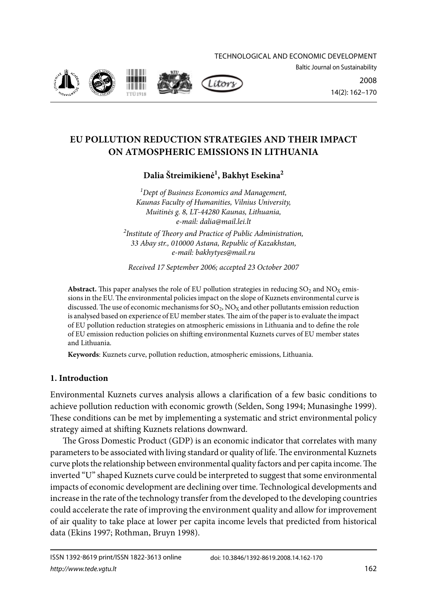Technological and economic development









2008 14(2): 162–170

# **EU POLLUTION REDUCTION STRATEGIES AND THEIR IMPACT ON ATMOSPHERIC EMISSIONS IN LITHUANIA**

**Dalia Štreimikienė1 , Bakhyt Esekina2**

*1 Dept of Business Economics and Management, Kaunas Faculty of Humanities, Vilnius University, Muitinės g. 8, LT-44280 Kaunas, Lithuania, e-mail: dalia@mail.lei.lt* 

*2 Institute of Theory and Practice of Public Administration, 33 Abay str., 010000 Astana, Republic of Kazakhstan, e-mail: bakhytyes@mail.ru*

*Received 17 September 2006; accepted 23 October 2007* 

**Abstract.** This paper analyses the role of EU pollution strategies in reducing  $SO_2$  and  $NO_X$  emissions in the EU. The environmental policies impact on the slope of Kuznets environmental curve is discussed. The use of economic mechanisms for  $SO_2$ ,  $NO<sub>X</sub>$  and other pollutants emission reduction is analysed based on experience of EU member states. The aim of the paper is to evaluate the impact of EU pollution reduction strategies on atmospheric emissions in Lithuania and to define the role of EU emission reduction policies on shifting environmental Kuznets curves of EU member states and Lithuania.

**Keywords**: Kuznets curve, pollution reduction, atmospheric emissions, Lithuania.

## **1. Introduction**

Environmental Kuznets curves analysis allows a clarification of a few basic conditions to achieve pollution reduction with economic growth (Selden, Song 1994; Munasinghe 1999). These conditions can be met by implementing a systematic and strict environmental policy strategy aimed at shifting Kuznets relations downward.

The Gross Domestic Product (GDP) is an economic indicator that correlates with many parameters to be associated with living standard or quality of life. The environmental Kuznets curve plots the relationship between environmental quality factors and per capita income. The inverted "U" shaped Kuznets curve could be interpreted to suggest that some environmental impacts of economic development are declining over time. Technological developments and increase in the rate of the technology transfer from the developed to the developing countries could accelerate the rate of improving the environment quality and allow for improvement of air quality to take place at lower per capita income levels that predicted from historical data (Ekins 1997; Rothman, Bruyn 1998).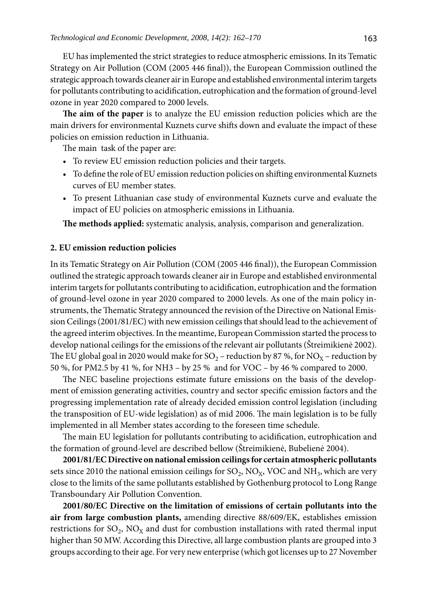EU has implemented the strict strategies to reduce atmospheric emissions. In its Tematic Strategy on Air Pollution (COM (2005 446 final)), the European Commission outlined the strategic approach towards cleaner air in Europe and established environmental interim targets for pollutants contributing to acidification, eutrophication and the formation of ground-level ozone in year 2020 compared to 2000 levels.

**The aim of the paper** is to analyze the EU emission reduction policies which are the main drivers for environmental Kuznets curve shifts down and evaluate the impact of these policies on emission reduction in Lithuania.

The main task of the paper are:

- To review EU emission reduction policies and their targets.
- To define the role of EU emission reduction policies on shifting environmental Kuznets curves of EU member states.
- To present Lithuanian case study of environmental Kuznets curve and evaluate the impact of EU policies on atmospheric emissions in Lithuania.

**The methods applied:** systematic analysis, analysis, comparison and generalization.

#### **2. EU emission reduction policies**

In its Tematic Strategy on Air Pollution (COM (2005 446 final)), the European Commission outlined the strategic approach towards cleaner air in Europe and established environmental interim targets for pollutants contributing to acidification, eutrophication and the formation of ground-level ozone in year 2020 compared to 2000 levels. As one of the main policy instruments, the Thematic Strategy announced the revision of the Directive on National Emission Ceilings (2001/81/EC) with new emission ceilings that should lead to the achievement of the agreed interim objectives. In the meantime, European Commission started the process to develop national ceilings for the emissions of the relevant air pollutants (Štreimikienė 2002). The EU global goal in 2020 would make for  $SO_2$  – reduction by 87 %, for  $NO_X$  – reduction by 50 %, for PM2.5 by 41 %, for NH3 – by 25 % and for VOC – by 46 % compared to 2000.

The NEC baseline projections estimate future emissions on the basis of the development of emission generating activities, country and sector specific emission factors and the progressing implementation rate of already decided emission control legislation (including the transposition of EU-wide legislation) as of mid 2006. The main legislation is to be fully implemented in all Member states according to the foreseen time schedule.

The main EU legislation for pollutants contributing to acidification, eutrophication and the formation of ground-level are described bellow (Štreimikienė, Bubelienė 2004).

**2001/81/EC Directive on national emission ceilings for certain atmospheric pollutants**  sets since 2010 the national emission ceilings for  $SO_2$ ,  $NO_X$ ,  $VOC$  and  $NH_3$ , which are very close to the limits of the same pollutants established by Gothenburg protocol to Long Range Transboundary Air Pollution Convention.

**2001/80/EC Directive on the limitation of emissions of certain pollutants into the air from large combustion plants,** amending directive 88/609/EK, establishes emission restrictions for  $SO_2$ ,  $NO<sub>X</sub>$  and dust for combustion installations with rated thermal input higher than 50 MW. According this Directive, all large combustion plants are grouped into 3 groups according to their age. For very new enterprise (which got licenses up to 27 November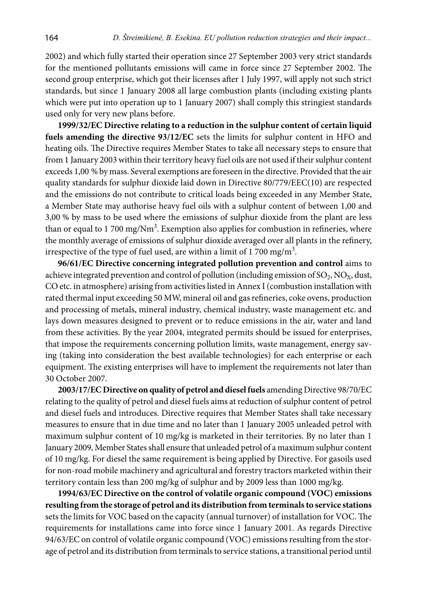2002) and which fully started their operation since 27 September 2003 very strict standards for the mentioned pollutants emissions will came in force since 27 September 2002. The second group enterprise, which got their licenses after 1 July 1997, will apply not such strict standards, but since 1 January 2008 all large combustion plants (including existing plants which were put into operation up to 1 January 2007) shall comply this stringiest standards used only for very new plans before.

**1999/32/EC Directive relating to a reduction in the sulphur content of certain liquid fuels amending the directive 93/12/EC** sets the limits for sulphur content in HFO and heating oils. The Directive requires Member States to take all necessary steps to ensure that from 1 January 2003 within their territory heavy fuel oils are not used if their sulphur content exceeds 1,00 % by mass. Several exemptions are foreseen in the directive. Provided that the air quality standards for sulphur dioxide laid down in Directive 80/779/EEC(10) are respected and the emissions do not contribute to critical loads being exceeded in any Member State, a Member State may authorise heavy fuel oils with a sulphur content of between 1,00 and 3,00 % by mass to be used where the emissions of sulphur dioxide from the plant are less than or equal to 1 700 mg/ $Nm^3$ . Exemption also applies for combustion in refineries, where the monthly average of emissions of sulphur dioxide averaged over all plants in the refinery, irrespective of the type of fuel used, are within a limit of 1 700 mg/m<sup>3</sup>.

**96/61/EC Directive concerning integrated pollution prevention and control** aims to achieve integrated prevention and control of pollution (including emission of  $SO_2$ ,  $NO_x$ , dust, CO etc. in atmosphere) arising from activities listed in Annex I (combustion installation with rated thermal input exceeding 50 MW, mineral oil and gas refineries, coke ovens, production and processing of metals, mineral industry, chemical industry, waste management etc. and lays down measures designed to prevent or to reduce emissions in the air, water and land from these activities. By the year 2004, integrated permits should be issued for enterprises, that impose the requirements concerning pollution limits, waste management, energy saving (taking into consideration the best available technologies) for each enterprise or each equipment. The existing enterprises will have to implement the requirements not later than 30 October 2007.

**2003/17/EC Directive on quality of petrol and diesel fuels** amending Directive 98/70/EC relating to the quality of petrol and diesel fuels aims at reduction of sulphur content of petrol and diesel fuels and introduces. Directive requires that Member States shall take necessary measures to ensure that in due time and no later than 1 January 2005 unleaded petrol with maximum sulphur content of 10 mg/kg is marketed in their territories. By no later than 1 January 2009, Member States shall ensure that unleaded petrol of a maximum sulphur content of 10 mg/kg. For diesel the same requirement is being applied by Directive. For gasoils used for non-road mobile machinery and agricultural and forestry tractors marketed within their territory contain less than 200 mg/kg of sulphur and by 2009 less than 1000 mg/kg.

**1994/63/EC Directive on the control of volatile organic compound (VOC) emissions resulting from the storage of petrol and its distribution from terminals to service stations**  sets the limits for VOC based on the capacity (annual turnover) of installation for VOC. The requirements for installations came into force since 1 January 2001. As regards Directive 94/63/EC on control of volatile organic compound (VOC) emissions resulting from the storage of petrol and its distribution from terminals to service stations, a transitional period until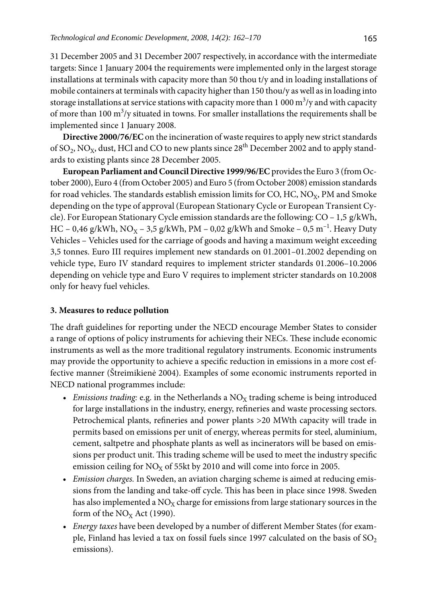31 December 2005 and 31 December 2007 respectively, in accordance with the intermediate targets: Since 1 January 2004 the requirements were implemented only in the largest storage installations at terminals with capacity more than 50 thou t/y and in loading installations of mobile containers at terminals with capacity higher than 150 thou/y as well as in loading into storage installations at service stations with capacity more than 1 000  $\mathrm{m}^{3}/\mathrm{y}$  and with capacity of more than  $100 \text{ m}^3$ /y situated in towns. For smaller installations the requirements shall be implemented since 1 January 2008.

**Directive 2000/76/EC** on the incineration of waste requires to apply new strict standards of SO<sub>2</sub>, NO<sub>x</sub>, dust, HCl and CO to new plants since  $28<sup>th</sup>$  December 2002 and to apply standards to existing plants since 28 December 2005.

**European Parliament and Council Directive 1999/96/EC** provides the Euro 3 (from October 2000), Euro 4 (from October 2005) and Euro 5 (from October 2008) emission standards for road vehicles. The standards establish emission limits for CO, HC, NO<sub>X</sub>, PM and Smoke depending on the type of approval (European Stationary Cycle or European Transient Cycle). For European Stationary Cycle emission standards are the following: CO – 1,5 g/kWh, HC – 0,46 g/kWh, NO<sub>X</sub> – 3,5 g/kWh, PM – 0,02 g/kWh and Smoke – 0,5 m<sup>-1</sup>. Heavy Duty Vehicles – Vehicles used for the carriage of goods and having a maximum weight exceeding 3,5 tonnes. Euro III requires implement new standards on 01.2001–01.2002 depending on vehicle type, Euro IV standard requires to implement stricter standards 01.2006–10.2006 depending on vehicle type and Euro V requires to implement stricter standards on 10.2008 only for heavy fuel vehicles.

## **3. Measures to reduce pollution**

The draft guidelines for reporting under the NECD encourage Member States to consider a range of options of policy instruments for achieving their NECs. These include economic instruments as well as the more traditional regulatory instruments. Economic instruments may provide the opportunity to achieve a specific reduction in emissions in a more cost effective manner (Štreimikienė 2004). Examples of some economic instruments reported in NECD national programmes include:

- *Emissions trading: e.g.* in the Netherlands a  $NO<sub>X</sub>$  trading scheme is being introduced for large installations in the industry, energy, refineries and waste processing sectors. Petrochemical plants, refineries and power plants >20 MWth capacity will trade in permits based on emissions per unit of energy, whereas permits for steel, aluminium, cement, saltpetre and phosphate plants as well as incinerators will be based on emissions per product unit. This trading scheme will be used to meet the industry specific emission ceiling for  $NO<sub>X</sub>$  of 55kt by 2010 and will come into force in 2005.
- *Emission charges.* In Sweden, an aviation charging scheme is aimed at reducing emissions from the landing and take-off cycle. This has been in place since 1998. Sweden has also implemented a  $NO<sub>X</sub>$  charge for emissions from large stationary sources in the form of the  $NO<sub>x</sub>$  Act (1990).
- *Energy taxes* have been developed by a number of different Member States (for example, Finland has levied a tax on fossil fuels since 1997 calculated on the basis of  $SO_2$ emissions).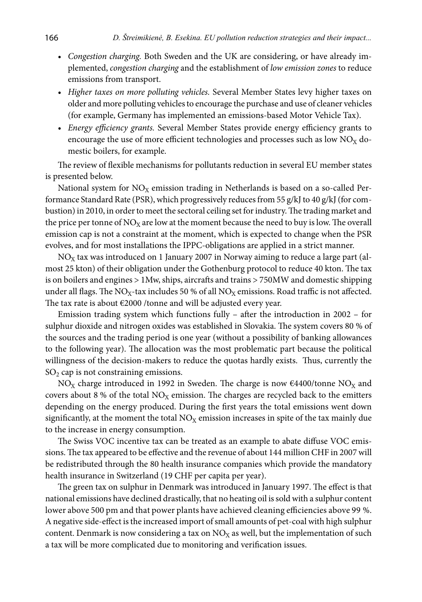- *Congestion charging.* Both Sweden and the UK are considering, or have already implemented, *congestion charging* and the establishment of *low emission zones* to reduce emissions from transport.
- *Higher taxes on more polluting vehicles.* Several Member States levy higher taxes on older and more polluting vehicles to encourage the purchase and use of cleaner vehicles (for example, Germany has implemented an emissions-based Motor Vehicle Tax).
- *Energy efficiency grants.* Several Member States provide energy efficiency grants to encourage the use of more efficient technologies and processes such as low  $NO<sub>X</sub>$  domestic boilers, for example.

The review of flexible mechanisms for pollutants reduction in several EU member states is presented below.

National system for  $NO<sub>X</sub>$  emission trading in Netherlands is based on a so-called Performance Standard Rate (PSR), which progressively reduces from 55 g/kJ to 40 g/kJ (for combustion) in 2010, in order to meet the sectoral ceiling set for industry. The trading market and the price per tonne of  $NO<sub>x</sub>$  are low at the moment because the need to buy is low. The overall emission cap is not a constraint at the moment, which is expected to change when the PSR evolves, and for most installations the IPPC-obligations are applied in a strict manner.

 $NO<sub>x</sub>$  tax was introduced on 1 January 2007 in Norway aiming to reduce a large part (almost 25 kton) of their obligation under the Gothenburg protocol to reduce 40 kton. The tax is on boilers and engines > 1Mw, ships, aircrafts and trains > 750MW and domestic shipping under all flags. The NO<sub>X</sub>-tax includes 50 % of all NO<sub>X</sub> emissions. Road traffic is not affected. The tax rate is about €2000 /tonne and will be adjusted every year.

Emission trading system which functions fully – after the introduction in 2002 – for sulphur dioxide and nitrogen oxides was established in Slovakia. The system covers 80 % of the sources and the trading period is one year (without a possibility of banking allowances to the following year). The allocation was the most problematic part because the political willingness of the decision-makers to reduce the quotas hardly exists. Thus, currently the  $SO<sub>2</sub>$  cap is not constraining emissions.

NO<sub>X</sub> charge introduced in 1992 in Sweden. The charge is now  $\epsilon$ 4400/tonne NO<sub>X</sub> and covers about 8 % of the total  $NO<sub>X</sub>$  emission. The charges are recycled back to the emitters depending on the energy produced. During the first years the total emissions went down significantly, at the moment the total  $NO<sub>X</sub>$  emission increases in spite of the tax mainly due to the increase in energy consumption.

The Swiss VOC incentive tax can be treated as an example to abate diffuse VOC emissions. The tax appeared to be effective and the revenue of about 144 million CHF in 2007 will be redistributed through the 80 health insurance companies which provide the mandatory health insurance in Switzerland (19 CHF per capita per year).

The green tax on sulphur in Denmark was introduced in January 1997. The effect is that national emissions have declined drastically, that no heating oil is sold with a sulphur content lower above 500 pm and that power plants have achieved cleaning efficiencies above 99 %. A negative side-effect is the increased import of small amounts of pet-coal with high sulphur content. Denmark is now considering a tax on  $NO<sub>X</sub>$  as well, but the implementation of such a tax will be more complicated due to monitoring and verification issues.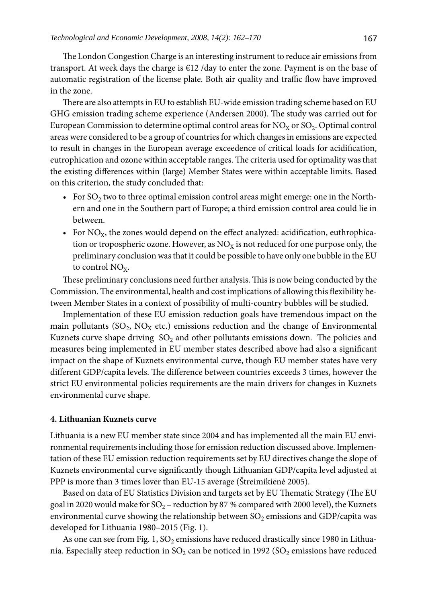The London Congestion Charge is an interesting instrument to reduce air emissions from transport. At week days the charge is  $E12$  /day to enter the zone. Payment is on the base of automatic registration of the license plate. Both air quality and traffic flow have improved in the zone.

There are also attempts in EU to establish EU-wide emission trading scheme based on EU GHG emission trading scheme experience (Andersen 2000). The study was carried out for European Commission to determine optimal control areas for  $NO<sub>x</sub>$  or  $SO<sub>2</sub>$ . Optimal control areas were considered to be a group of countries for which changes in emissions are expected to result in changes in the European average exceedence of critical loads for acidification, eutrophication and ozone within acceptable ranges. The criteria used for optimality was that the existing differences within (large) Member States were within acceptable limits. Based on this criterion, the study concluded that:

- For  $SO_2$  two to three optimal emission control areas might emerge: one in the Northern and one in the Southern part of Europe; a third emission control area could lie in between.
- For  $NO_x$ , the zones would depend on the effect analyzed: acidification, euthrophication or tropospheric ozone. However, as  $NO<sub>X</sub>$  is not reduced for one purpose only, the preliminary conclusion was that it could be possible to have only one bubble in the EU to control  $NO<sub>x</sub>$ .

These preliminary conclusions need further analysis. This is now being conducted by the Commission. The environmental, health and cost implications of allowing this flexibility between Member States in a context of possibility of multi-country bubbles will be studied.

Implementation of these EU emission reduction goals have tremendous impact on the main pollutants (SO<sub>2</sub>, NO<sub>X</sub> etc.) emissions reduction and the change of Environmental Kuznets curve shape driving  $SO_2$  and other pollutants emissions down. The policies and measures being implemented in EU member states described above had also a significant impact on the shape of Kuznets environmental curve, though EU member states have very different GDP/capita levels. The difference between countries exceeds 3 times, however the strict EU environmental policies requirements are the main drivers for changes in Kuznets environmental curve shape.

#### **4. Lithuanian Kuznets curve**

Lithuania is a new EU member state since 2004 and has implemented all the main EU environmental requirements including those for emission reduction discussed above. Implementation of these EU emission reduction requirements set by EU directives change the slope of Kuznets environmental curve significantly though Lithuanian GDP/capita level adjusted at PPP is more than 3 times lover than EU-15 average (Štreimikienė 2005).

Based on data of EU Statistics Division and targets set by EU Thematic Strategy (The EU goal in 2020 would make for  $SO_2$  – reduction by 87 % compared with 2000 level), the Kuznets environmental curve showing the relationship between  $SO_2$  emissions and GDP/capita was developed for Lithuania 1980–2015 (Fig. 1).

As one can see from Fig. 1,  $SO_2$  emissions have reduced drastically since 1980 in Lithuania. Especially steep reduction in  $SO_2$  can be noticed in 1992 ( $SO_2$  emissions have reduced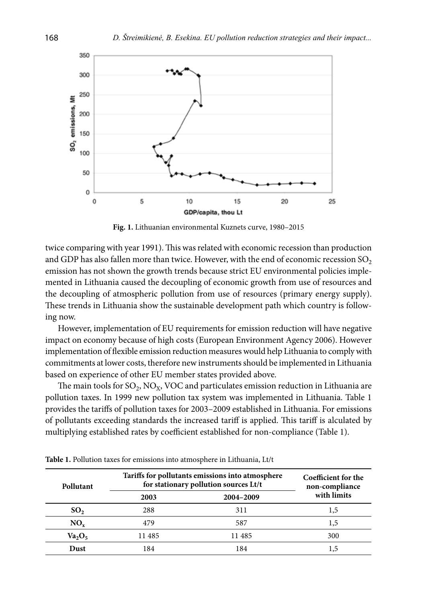

**Fig. 1.** Lithuanian environmental Kuznets curve, 1980–2015

twice comparing with year 1991). This was related with economic recession than production and GDP has also fallen more than twice. However, with the end of economic recession  $SO_2$ emission has not shown the growth trends because strict EU environmental policies implemented in Lithuania caused the decoupling of economic growth from use of resources and the decoupling of atmospheric pollution from use of resources (primary energy supply). These trends in Lithuania show the sustainable development path which country is following now.

However, implementation of EU requirements for emission reduction will have negative impact on economy because of high costs (European Environment Agency 2006). However implementation of flexible emission reduction measures would help Lithuania to comply with commitments at lower costs, therefore new instruments should be implemented in Lithuania based on experience of other EU member states provided above.

The main tools for  $SO_2$ , NO<sub>X</sub>, VOC and particulates emission reduction in Lithuania are pollution taxes. In 1999 new pollution tax system was implemented in Lithuania. Table 1 provides the tariffs of pollution taxes for 2003–2009 established in Lithuania. For emissions of pollutants exceeding standards the increased tariff is applied. This tariff is alculated by multiplying established rates by coefficient established for non-compliance (Table 1).

| Pollutant       | Tariffs for pollutants emissions into atmosphere<br>for stationary pollution sources Lt/t |           | Coefficient for the<br>non-compliance |  |
|-----------------|-------------------------------------------------------------------------------------------|-----------|---------------------------------------|--|
|                 | 2003                                                                                      | 2004-2009 | with limits                           |  |
| SO <sub>2</sub> | 288                                                                                       | 311       | 1,5                                   |  |
| $NO_{x}$        | 479                                                                                       | 587       | 1,5                                   |  |
| $Va_2O_5$       | 11 485                                                                                    | 11 485    | 300                                   |  |
| Dust            | 184                                                                                       | 184       | 1,5                                   |  |

**Table 1.** Pollution taxes for emissions into atmosphere in Lithuania, Lt/t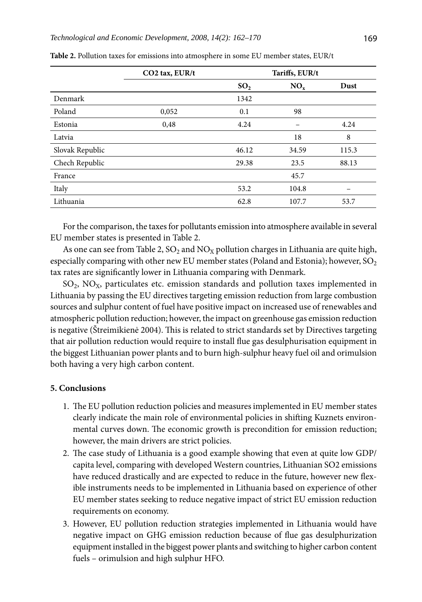|                 | $CO2$ tax, $EUR/t$ | Tariffs, EUR/t  |        |       |
|-----------------|--------------------|-----------------|--------|-------|
|                 |                    | SO <sub>2</sub> | $NO_x$ | Dust  |
| Denmark         |                    | 1342            |        |       |
| Poland          | 0,052              | 0.1             | 98     |       |
| Estonia         | 0,48               | 4.24            |        | 4.24  |
| Latvia          |                    |                 | 18     | 8     |
| Slovak Republic |                    | 46.12           | 34.59  | 115.3 |
| Chech Republic  |                    | 29.38           | 23.5   | 88.13 |
| France          |                    |                 | 45.7   |       |
| Italy           |                    | 53.2            | 104.8  |       |
| Lithuania       |                    | 62.8            | 107.7  | 53.7  |

| <b>Table 2.</b> Pollution taxes for emissions into atmosphere in some EU member states, EUR/t |  |
|-----------------------------------------------------------------------------------------------|--|
|-----------------------------------------------------------------------------------------------|--|

For the comparison, the taxes for pollutants emission into atmosphere available in several EU member states is presented in Table 2.

As one can see from Table 2,  $SO_2$  and  $NO_x$  pollution charges in Lithuania are quite high, especially comparing with other new EU member states (Poland and Estonia); however,  $SO_2$ tax rates are significantly lower in Lithuania comparing with Denmark.

 $SO_2$ ,  $NO_X$ , particulates etc. emission standards and pollution taxes implemented in Lithuania by passing the EU directives targeting emission reduction from large combustion sources and sulphur content of fuel have positive impact on increased use of renewables and atmospheric pollution reduction; however, the impact on greenhouse gas emission reduction is negative (Štreimikienė 2004). This is related to strict standards set by Directives targeting that air pollution reduction would require to install flue gas desulphurisation equipment in the biggest Lithuanian power plants and to burn high-sulphur heavy fuel oil and orimulsion both having a very high carbon content.

### **5. Conclusions**

- 1. The EU pollution reduction policies and measures implemented in EU member states clearly indicate the main role of environmental policies in shifting Kuznets environmental curves down. The economic growth is precondition for emission reduction; however, the main drivers are strict policies.
- 2. The case study of Lithuania is a good example showing that even at quite low GDP/ capita level, comparing with developed Western countries, Lithuanian SO2 emissions have reduced drastically and are expected to reduce in the future, however new flexible instruments needs to be implemented in Lithuania based on experience of other EU member states seeking to reduce negative impact of strict EU emission reduction requirements on economy.
- 3. However, EU pollution reduction strategies implemented in Lithuania would have negative impact on GHG emission reduction because of flue gas desulphurization equipment installed in the biggest power plants and switching to higher carbon content fuels – orimulsion and high sulphur HFO.